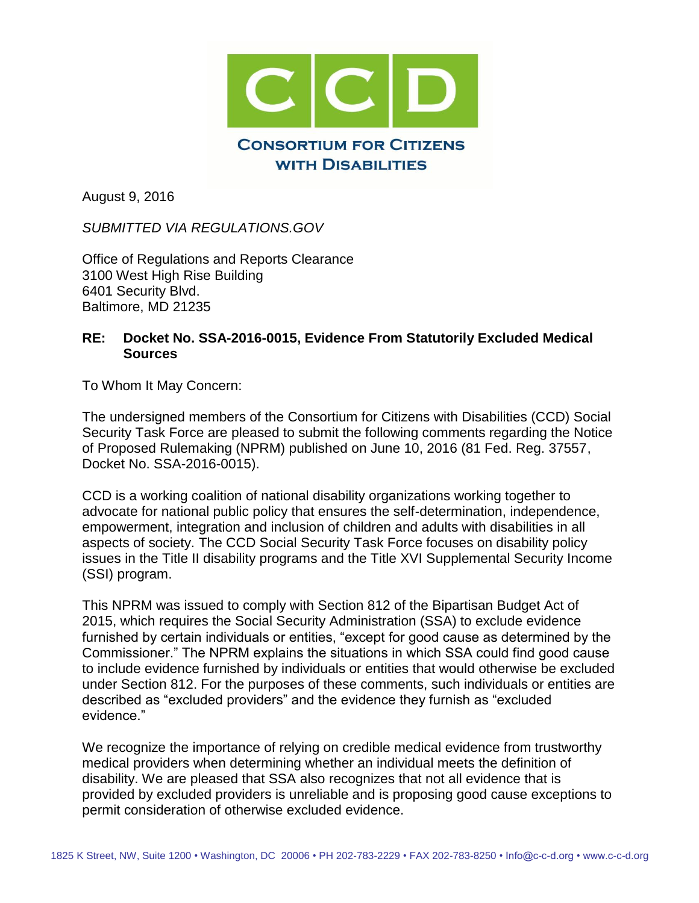

August 9, 2016

*SUBMITTED VIA REGULATIONS.GOV*

Office of Regulations and Reports Clearance 3100 West High Rise Building 6401 Security Blvd. Baltimore, MD 21235

### **RE: Docket No. SSA-2016-0015, Evidence From Statutorily Excluded Medical Sources**

To Whom It May Concern:

The undersigned members of the Consortium for Citizens with Disabilities (CCD) Social Security Task Force are pleased to submit the following comments regarding the Notice of Proposed Rulemaking (NPRM) published on June 10, 2016 (81 Fed. Reg. 37557, Docket No. SSA-2016-0015).

CCD is a working coalition of national disability organizations working together to advocate for national public policy that ensures the self-determination, independence, empowerment, integration and inclusion of children and adults with disabilities in all aspects of society. The CCD Social Security Task Force focuses on disability policy issues in the Title II disability programs and the Title XVI Supplemental Security Income (SSI) program.

This NPRM was issued to comply with Section 812 of the Bipartisan Budget Act of 2015, which requires the Social Security Administration (SSA) to exclude evidence furnished by certain individuals or entities, "except for good cause as determined by the Commissioner." The NPRM explains the situations in which SSA could find good cause to include evidence furnished by individuals or entities that would otherwise be excluded under Section 812. For the purposes of these comments, such individuals or entities are described as "excluded providers" and the evidence they furnish as "excluded evidence."

We recognize the importance of relying on credible medical evidence from trustworthy medical providers when determining whether an individual meets the definition of disability. We are pleased that SSA also recognizes that not all evidence that is provided by excluded providers is unreliable and is proposing good cause exceptions to permit consideration of otherwise excluded evidence.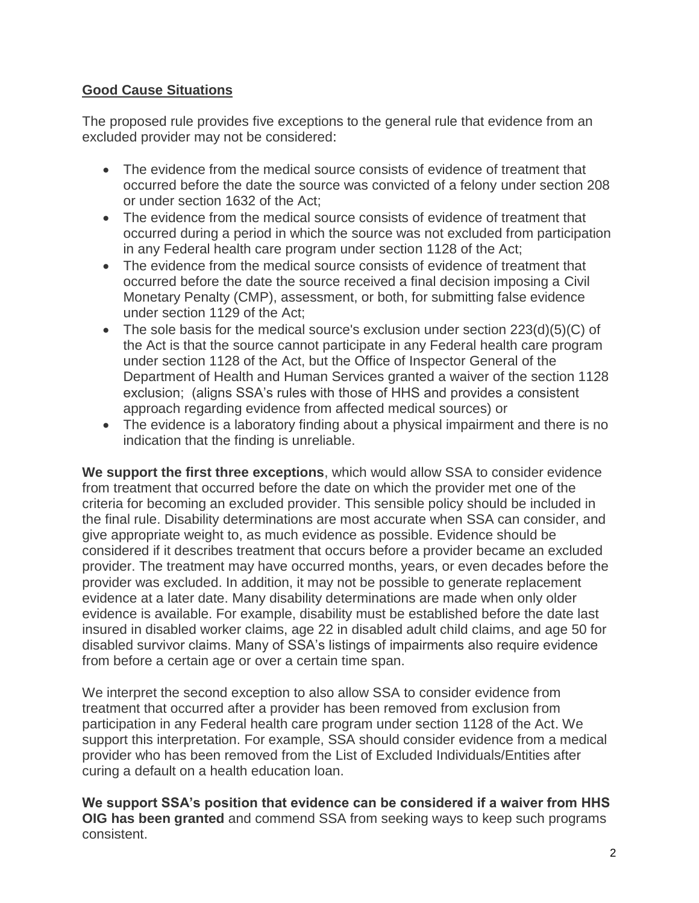# **Good Cause Situations**

The proposed rule provides five exceptions to the general rule that evidence from an excluded provider may not be considered:

- The evidence from the medical source consists of evidence of treatment that occurred before the date the source was convicted of a felony under section 208 or under section 1632 of the Act;
- The evidence from the medical source consists of evidence of treatment that occurred during a period in which the source was not excluded from participation in any Federal health care program under section 1128 of the Act;
- The evidence from the medical source consists of evidence of treatment that occurred before the date the source received a final decision imposing a Civil Monetary Penalty (CMP), assessment, or both, for submitting false evidence under section 1129 of the Act;
- The sole basis for the medical source's exclusion under section 223(d)(5)(C) of the Act is that the source cannot participate in any Federal health care program under section 1128 of the Act, but the Office of Inspector General of the Department of Health and Human Services granted a waiver of the section 1128 exclusion; (aligns SSA's rules with those of HHS and provides a consistent approach regarding evidence from affected medical sources) or
- The evidence is a laboratory finding about a physical impairment and there is no indication that the finding is unreliable.

**We support the first three exceptions**, which would allow SSA to consider evidence from treatment that occurred before the date on which the provider met one of the criteria for becoming an excluded provider. This sensible policy should be included in the final rule. Disability determinations are most accurate when SSA can consider, and give appropriate weight to, as much evidence as possible. Evidence should be considered if it describes treatment that occurs before a provider became an excluded provider. The treatment may have occurred months, years, or even decades before the provider was excluded. In addition, it may not be possible to generate replacement evidence at a later date. Many disability determinations are made when only older evidence is available. For example, disability must be established before the date last insured in disabled worker claims, age 22 in disabled adult child claims, and age 50 for disabled survivor claims. Many of SSA's listings of impairments also require evidence from before a certain age or over a certain time span.

We interpret the second exception to also allow SSA to consider evidence from treatment that occurred after a provider has been removed from exclusion from participation in any Federal health care program under section 1128 of the Act. We support this interpretation. For example, SSA should consider evidence from a medical provider who has been removed from the List of Excluded Individuals/Entities after curing a default on a health education loan.

**We support SSA's position that evidence can be considered if a waiver from HHS OIG has been granted** and commend SSA from seeking ways to keep such programs consistent.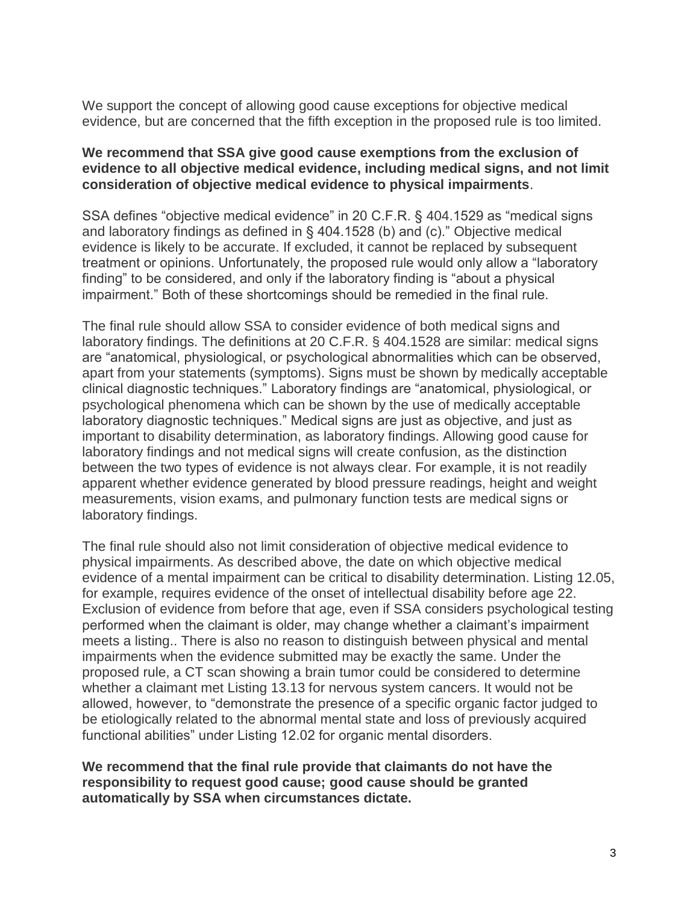We support the concept of allowing good cause exceptions for objective medical evidence, but are concerned that the fifth exception in the proposed rule is too limited.

#### **We recommend that SSA give good cause exemptions from the exclusion of evidence to all objective medical evidence, including medical signs, and not limit consideration of objective medical evidence to physical impairments**.

SSA defines "objective medical evidence" in 20 C.F.R. § 404.1529 as "medical signs and laboratory findings as defined in § 404.1528 (b) and (c)." Objective medical evidence is likely to be accurate. If excluded, it cannot be replaced by subsequent treatment or opinions. Unfortunately, the proposed rule would only allow a "laboratory finding" to be considered, and only if the laboratory finding is "about a physical impairment." Both of these shortcomings should be remedied in the final rule.

The final rule should allow SSA to consider evidence of both medical signs and laboratory findings. The definitions at 20 C.F.R. § 404.1528 are similar: medical signs are "anatomical, physiological, or psychological abnormalities which can be observed, apart from your statements (symptoms). Signs must be shown by medically acceptable clinical diagnostic techniques." Laboratory findings are "anatomical, physiological, or psychological phenomena which can be shown by the use of medically acceptable laboratory diagnostic techniques." Medical signs are just as objective, and just as important to disability determination, as laboratory findings. Allowing good cause for laboratory findings and not medical signs will create confusion, as the distinction between the two types of evidence is not always clear. For example, it is not readily apparent whether evidence generated by blood pressure readings, height and weight measurements, vision exams, and pulmonary function tests are medical signs or laboratory findings.

The final rule should also not limit consideration of objective medical evidence to physical impairments. As described above, the date on which objective medical evidence of a mental impairment can be critical to disability determination. Listing 12.05, for example, requires evidence of the onset of intellectual disability before age 22. Exclusion of evidence from before that age, even if SSA considers psychological testing performed when the claimant is older, may change whether a claimant's impairment meets a listing.. There is also no reason to distinguish between physical and mental impairments when the evidence submitted may be exactly the same. Under the proposed rule, a CT scan showing a brain tumor could be considered to determine whether a claimant met Listing 13.13 for nervous system cancers. It would not be allowed, however, to "demonstrate the presence of a specific organic factor judged to be etiologically related to the abnormal mental state and loss of previously acquired functional abilities" under Listing 12.02 for organic mental disorders.

**We recommend that the final rule provide that claimants do not have the responsibility to request good cause; good cause should be granted automatically by SSA when circumstances dictate.**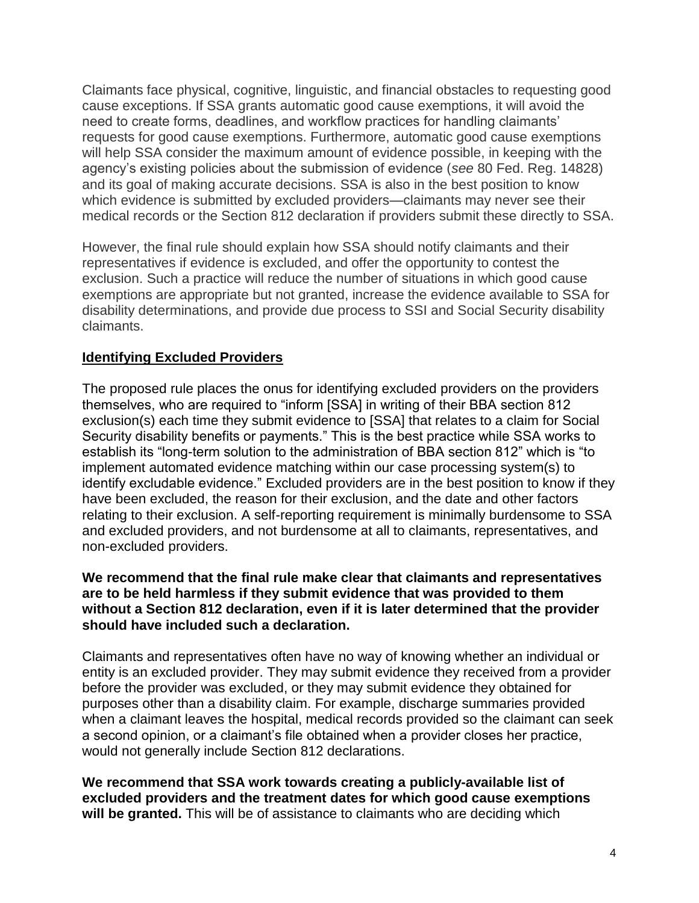Claimants face physical, cognitive, linguistic, and financial obstacles to requesting good cause exceptions. If SSA grants automatic good cause exemptions, it will avoid the need to create forms, deadlines, and workflow practices for handling claimants' requests for good cause exemptions. Furthermore, automatic good cause exemptions will help SSA consider the maximum amount of evidence possible, in keeping with the agency's existing policies about the submission of evidence (*see* 80 Fed. Reg. 14828) and its goal of making accurate decisions. SSA is also in the best position to know which evidence is submitted by excluded providers—claimants may never see their medical records or the Section 812 declaration if providers submit these directly to SSA.

However, the final rule should explain how SSA should notify claimants and their representatives if evidence is excluded, and offer the opportunity to contest the exclusion. Such a practice will reduce the number of situations in which good cause exemptions are appropriate but not granted, increase the evidence available to SSA for disability determinations, and provide due process to SSI and Social Security disability claimants.

## **Identifying Excluded Providers**

The proposed rule places the onus for identifying excluded providers on the providers themselves, who are required to "inform [SSA] in writing of their BBA section 812 exclusion(s) each time they submit evidence to [SSA] that relates to a claim for Social Security disability benefits or payments." This is the best practice while SSA works to establish its "long-term solution to the administration of BBA section 812" which is "to implement automated evidence matching within our case processing system(s) to identify excludable evidence." Excluded providers are in the best position to know if they have been excluded, the reason for their exclusion, and the date and other factors relating to their exclusion. A self-reporting requirement is minimally burdensome to SSA and excluded providers, and not burdensome at all to claimants, representatives, and non-excluded providers.

#### **We recommend that the final rule make clear that claimants and representatives are to be held harmless if they submit evidence that was provided to them without a Section 812 declaration, even if it is later determined that the provider should have included such a declaration.**

Claimants and representatives often have no way of knowing whether an individual or entity is an excluded provider. They may submit evidence they received from a provider before the provider was excluded, or they may submit evidence they obtained for purposes other than a disability claim. For example, discharge summaries provided when a claimant leaves the hospital, medical records provided so the claimant can seek a second opinion, or a claimant's file obtained when a provider closes her practice, would not generally include Section 812 declarations.

**We recommend that SSA work towards creating a publicly-available list of excluded providers and the treatment dates for which good cause exemptions will be granted.** This will be of assistance to claimants who are deciding which